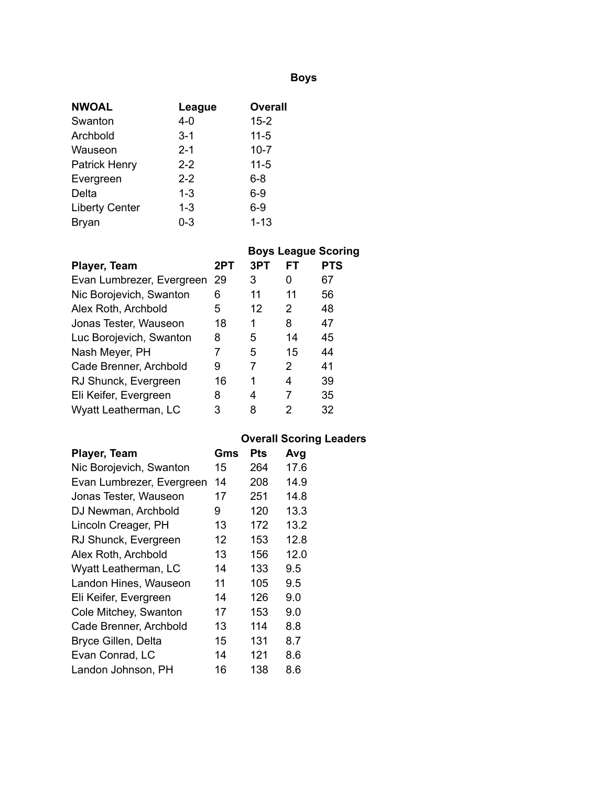## **Boys**

| <b>NWOAL</b>          | League  | <b>Overall</b> |
|-----------------------|---------|----------------|
| Swanton               | $4 - 0$ | $15 - 2$       |
| Archbold              | $3 - 1$ | $11 - 5$       |
| Wauseon               | $2 - 1$ | $10 - 7$       |
| <b>Patrick Henry</b>  | $2 - 2$ | $11 - 5$       |
| Evergreen             | $2 - 2$ | 6-8            |
| Delta                 | $1 - 3$ | $6-9$          |
| <b>Liberty Center</b> | $1 - 3$ | $6 - 9$        |
| Bryan                 | $0 - 3$ | $1 - 13$       |

|                           |     |     |    | <b>Boys League Scoring</b> |
|---------------------------|-----|-----|----|----------------------------|
| Player, Team              | 2PT | 3PT | FТ | <b>PTS</b>                 |
| Evan Lumbrezer, Evergreen | -29 | 3   | 0  | 67                         |
| Nic Borojevich, Swanton   | 6   | 11  | 11 | 56                         |
| Alex Roth, Archbold       | 5   | 12  | 2  | 48                         |
| Jonas Tester, Wauseon     | 18  | 1   | 8  | 47                         |
| Luc Borojevich, Swanton   | 8   | 5   | 14 | 45                         |
| Nash Meyer, PH            |     | 5   | 15 | 44                         |
| Cade Brenner, Archbold    | 9   | 7   | 2  | 41                         |
| RJ Shunck, Evergreen      | 16  | 1   | 4  | 39                         |
| Eli Keifer, Evergreen     | 8   | 4   | 7  | 35                         |
| Wyatt Leatherman, LC      | 3   | 8   | 2  | 32                         |

# **Overall Scoring Leaders**

| Player, Team              | Gms | Pts | Avg  |
|---------------------------|-----|-----|------|
| Nic Borojevich, Swanton   | 15  | 264 | 17.6 |
| Evan Lumbrezer, Evergreen | 14  | 208 | 14.9 |
| Jonas Tester, Wauseon     | 17  | 251 | 14.8 |
| DJ Newman, Archbold       | 9   | 120 | 13.3 |
| Lincoln Creager, PH       | 13  | 172 | 13.2 |
| RJ Shunck, Evergreen      | 12  | 153 | 12.8 |
| Alex Roth, Archbold       | 13  | 156 | 12.0 |
| Wyatt Leatherman, LC      | 14  | 133 | 9.5  |
| Landon Hines, Wauseon     | 11  | 105 | 9.5  |
| Eli Keifer, Evergreen     | 14  | 126 | 9.0  |
| Cole Mitchey, Swanton     | 17  | 153 | 9.0  |
| Cade Brenner, Archbold    | 13  | 114 | 8.8  |
| Bryce Gillen, Delta       | 15  | 131 | 8.7  |
| Evan Conrad, LC           | 14  | 121 | 8.6  |
| Landon Johnson, PH        | 16  | 138 | 8.6  |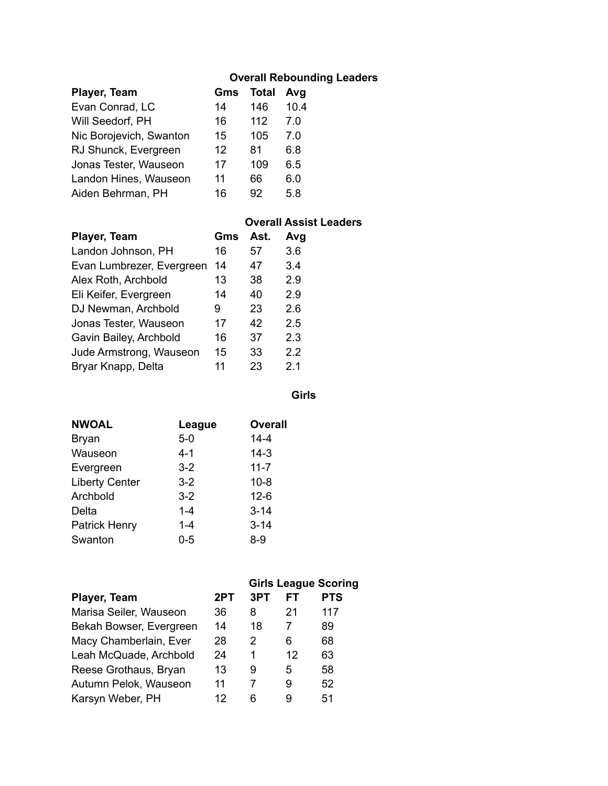## **Overall Rebounding Leaders**

| Player, Team            | Gms | <b>Total</b> | Avg  |
|-------------------------|-----|--------------|------|
| Evan Conrad, LC         | 14  | 146          | 10.4 |
| Will Seedorf, PH        | 16  | 112          | 7.0  |
| Nic Borojevich, Swanton | 15  | 105          | 7.0  |
| RJ Shunck, Evergreen    | 12  | 81           | 6.8  |
| Jonas Tester, Wauseon   | 17  | 109          | 6.5  |
| Landon Hines, Wauseon   | 11  | 66           | 6.0  |
| Aiden Behrman, PH       | 16  | 92           | 58   |

#### **Overall Assist Leaders**

| Player, Team              | Gms | Ast. | Avg |
|---------------------------|-----|------|-----|
| Landon Johnson, PH        | 16  | 57   | 3.6 |
| Evan Lumbrezer, Evergreen | 14  | 47   | 3.4 |
| Alex Roth, Archbold       | 13  | 38   | 2.9 |
| Eli Keifer, Evergreen     | 14  | 40   | 2.9 |
| DJ Newman, Archbold       | 9   | 23   | 2.6 |
| Jonas Tester, Wauseon     | 17  | 42   | 2.5 |
| Gavin Bailey, Archbold    | 16  | 37   | 2.3 |
| Jude Armstrong, Wauseon   | 15  | 33   | 2.2 |
| Bryar Knapp, Delta        | 11  | 23   | 2.1 |

**Girls**

| <b>NWOAL</b>          | League  | <b>Overall</b> |
|-----------------------|---------|----------------|
| <b>Bryan</b>          | $5-0$   | $14 - 4$       |
| Wauseon               | $4 - 1$ | $14 - 3$       |
| Evergreen             | $3 - 2$ | $11 - 7$       |
| <b>Liberty Center</b> | $3 - 2$ | $10 - 8$       |
| Archbold              | $3 - 2$ | $12-6$         |
| Delta                 | $1 - 4$ | $3 - 14$       |
| <b>Patrick Henry</b>  | $1 - 4$ | $3 - 14$       |
| Swanton               | $0 - 5$ | $8 - 9$        |

|                         |     |     |    | <b>Girls League Scoring</b> |
|-------------------------|-----|-----|----|-----------------------------|
| Player, Team            | 2PT | 3PT | FT | <b>PTS</b>                  |
| Marisa Seiler, Wauseon  | 36  | 8   | 21 | 117                         |
| Bekah Bowser, Evergreen | 14  | 18  | 7  | 89                          |
| Macy Chamberlain, Ever  | 28  | 2   | 6  | 68                          |
| Leah McQuade, Archbold  | 24  | 1   | 12 | 63                          |
| Reese Grothaus, Bryan   | 13  | 9   | 5  | 58                          |
| Autumn Pelok, Wauseon   | 11  | 7   | 9  | 52                          |
| Karsyn Weber, PH        | 12  | հ   | 9  | 51                          |